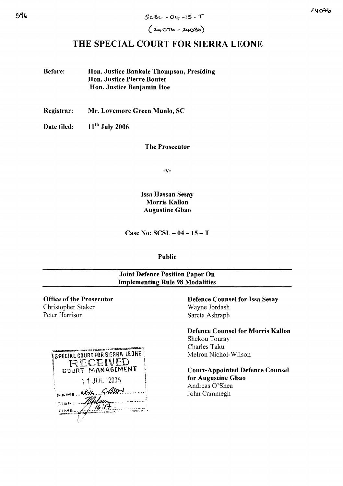$(24076 - 24086)$ 

# THE SPECIAL COURT FOR SIERRA LEONE

Before: Hon. Justice Bankole Thompson, Presiding Hon. Justice Pierre Boutet Hon. Justice Benjamin Hoe

Registrar: Mr. Lovemore Green Munlo, SC

Date filed: 11<sup>th</sup> July 2006

The Prosecutor

-v-

Issa Hassan Sesay Morris Kallon Augustine Gbao

Case No: SCSL - 04 -15 - T

Public

# Joint Defence Position Paper On Implementing Rule 98 Modalities

Office of the Prosecutor Christopher Staker Peter Harrison



Defence Counsel for Issa Sesay Wayne Jordash Sareta Ashraph

Defence Counsel for Morris Kallon Shekou Touray Charles Taku Melron Nichol-Wilson

Court-Appointed Defence Counsel for Augustine Gbao Andreas O'Shea John Cammegh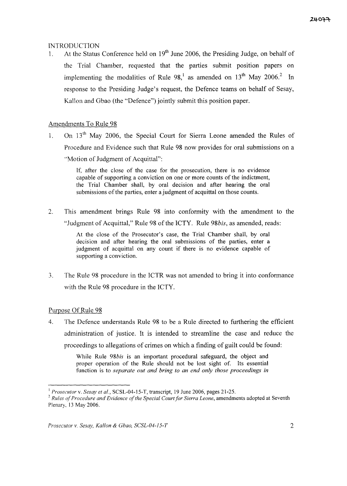## INTRODUCTION

1. At the Status Conference held on  $19<sup>th</sup>$  June 2006, the Presiding Judge, on behalf of the Trial Chamber, requested that the parties submit position papers on implementing the modalities of Rule 98,<sup>1</sup> as amended on 13<sup>th</sup> May 2006.<sup>2</sup> In response to the Presiding Judge's request, the Defence teams on behalf of Sesay, Kallon and Gbao (the "Defence") jointly submit this position paper.

# Amendments To Rule 98

1. On 13<sup>th</sup> May 2006, the Special Court for Sierra Leone amended the Rules of Procedure and Evidence such that Rule 98 now provides for oral submissions on a "Motion of Judgment of Acquittal":

> If, after the close of the case for the prosecution, there is no evidence capable of supporting a conviction on one or more counts of the indictment, the Trial Chamber shall, by oral decision and after hearing the oral submissions of the parties, enter a judgment of acquittal on those counts.

2. This amendment brings Rule 98 into conformity with the amendment to the "Judgment of Acquittal," Rule 98 of the ICTY. Rule 98*bis*, as amended, reads:

> At the close of the Prosecutor's case, the Trial Chamber shall, by oral decision and after hearing the oral submissions of the parties, enter a judgment of acquittal on any count if there is no evidence capable of supporting a conviction.

3. The Rule 98 procedure in the ICTR was not amended to bring it into conformance with the Rule 98 procedure in the ICTY.

## Purpose Of Rule 98

4. The Defence understands Rule 98 to be a Rule directed to furthering the efficient administration of justice. It is intended to streamline the case and reduce the proceedings to allegations of crimes on which a finding of guilt could be found:

> While Rule *98bis* is an important procedural safeguard, the object and proper operation of the Rule should not be lost sight of. Its essential function is to *separate out and bring to an end only those proceedings in*

<sup>1</sup> *Prosecutor* v. *Sesay et at.,* SCSL-04-15-T, transcript, 19 June 2006, pages 21-25.

<sup>&</sup>lt;sup>2</sup> *Rules of Procedure and Evidence of the Special Court for Sierra Leone, amendments adopted at Seventh* Plenary, <sup>13</sup> May 2006.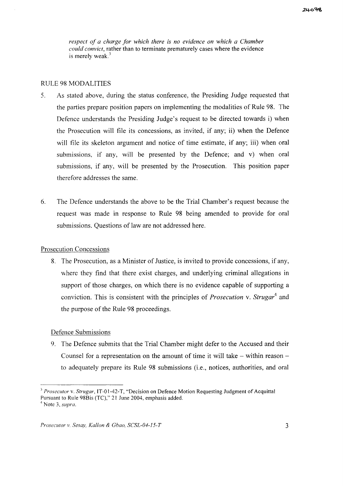*re:-.pect of a charge for which there is no evidence on which a Chamber could convict,* rather than to terminate prematurely cases where the evidence is merely weak. $3$ 

## RULE 98 MODALITIES

- 5. As stated above, during the status conference, the Presiding Judge requested that the parties prepare position papers on implementing the modalities of Rule 98. The Defence understands the Presiding Judge's request to be directed towards i) when the Prosecution will file its concessions, as invited, if any; ii) when the Defence will file its skeleton argument and notice of time estimate, if any; iii) when oral submissions, if any, will be presented by the Defence; and v) when oral submissions, if any, will be presented by the Prosecution. This position paper therefore addresses the same.
- 6. The Defence understands the above to be the Trial Chamber's request because the request was made in response to Rule 98 being amended to provide for oral submissions. Questions of law are not addressed here.

### Prosecution Concessions

8. The Prosecution, as a Minister of Justice, is invited to provide concessions, if any, where they find that there exist charges, and underlying criminal allegations in support of those charges, on which there is no evidence capable of supporting a conviction. This is consistent with the principles of *Prosecution* v. *Strugar*<sup>4</sup> and the purpose of the Rule 98 proceedings.

### Defence Submissions

9. The Defence submits that the Trial Chamber might defer to the Accused and their Counsel for a representation on the amount of time it will take  $-$  within reason  $$ to adequately prepare its Rule 98 submissions (i.e., notices, authorities, and oral

<sup>3</sup> *Prosecutor* v. *Strugar,* IT-01-42-T, "Decision on Defence Motion Requesting Judgment of Acquittal Pursuant to Rule 98Bis (TC)," 21 June 2004, emphasis added. <sup>4</sup> Note 3, *supra.*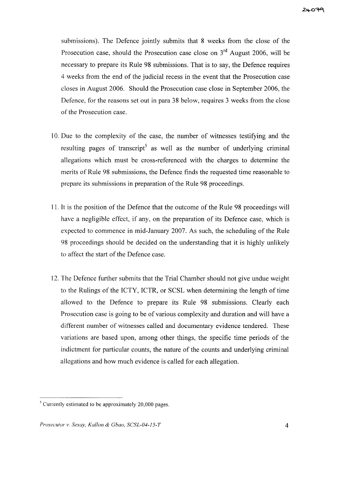submissions). The Defence jointly submits that 8 weeks from the close of the Prosecution case, should the Prosecution case close on  $3<sup>rd</sup>$  August 2006, will be necessary to prepare its Rule 98 submissions. That is to say, the Defence requires 4 weeks from the end of the judicial recess in the event that the Prosecution case closes in August 2006. Should the Prosecution case close in September 2006, the Defence, for the reasons set out in para 38 below, requires 3 weeks from the close of the Prosecution case.

- 10. Due to the complexity of the case, the number of witnesses testifying and the resulting pages of transcript<sup>5</sup> as well as the number of underlying criminal allegations which must be cross-referenced with the charges to determine the merits of Rule 98 submissions, the Defence finds the requested time reasonable to prepare its submissions in preparation of the Rule 98 proceedings.
- 11. It is the position of the Defence that the outcome of the Rule 98 proceedings will have a negligible effect, if any, on the preparation of its Defence case, which is expected to commence in mid-January 2007. As such, the scheduling of the Rule 98 proceedings should be decided on the understanding that it is highly unlikely to affect the start of the Defence case.
- 12. The Defence further submits that the Trial Chamber should not give undue weight to the Rulings of the ICTY, ICTR, or SCSL when determining the length of time allowed to the Defence to prepare its Rule 98 submissions. Clearly each Prosecution case is going to be of various complexity and duration and will have a different number of witnesses called and documentary evidence tendered. These variations are based upon, among other things, the specific time periods of the indictment for particular counts, the nature of the counts and underlying criminal allegations and how much evidence is called for each allegation.

 $<sup>5</sup>$  Currently estimated to be approximately 20,000 pages.</sup>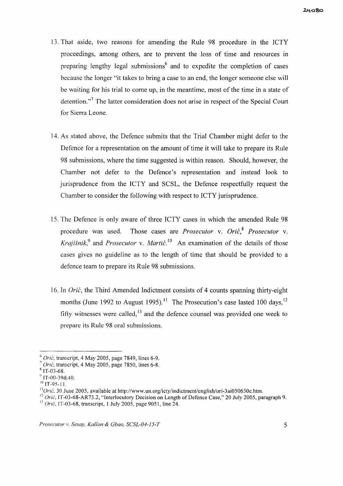- 13. That aside, two reasons for amending the Rule 98 procedure in the ICTY proceedings, among others, are to prevent the loss of time and resources in preparing lengthy legal submissions<sup> $6$ </sup> and to expedite the completion of cases because the longer "it takes to bring a case to an end, the longer someone else will be waiting for his trial to come up, in the meantime, most of the time in a state of detention."<sup>7</sup> The latter consideration does not arise in respect of the Special Court for Sierra Leone.
- 14. As stated above, the Defence submits that the Trial Chamber might defer to the Defence for a representation on the amount of time it will take to prepare its Rule 98 submissions, where the time suggested is within reason. Should, however, the Chamber not defer to the Defence's representation and instead look to jurisprudence from the ICTY and SCSL, the Defence respectfully request the Chamber to consider the following with respect to ICTY jurisprudence.
- 15. The Defence is only aware of three ICTY cases in which the amended Rule 98 procedure was used. Those cases are *Prosecutor* v. *Grie,8 Prosecutor* v. *Krajišnik*,<sup>9</sup> and *Prosecutor* v. *Martić*<sup>10</sup> An examination of the details of those cases gives no guideline as to the length of time that should be provided to a defence team to prepare its Rule 98 submissions.
- 16. In *Orić*, the Third Amended Indictment consists of 4 counts spanning thirty-eight months (June 1992 to August 1995).<sup>11</sup> The Prosecution's case lasted 100 days,<sup>12</sup> fifty witnesses were called, $^{13}$  and the defence counsel was provided one week to prepare its Rule 98 oral submissions.

*<sup>6</sup> Orie,* transcript, 4 May 2005, page 7849, lines 6-9.

*<sup>7</sup> Orie,* transcript, 4 May 2005, page 7850, lines 6-8.

<sup>8</sup> IT-03-68.

 $^{\circ}$  IT-00-39&40.

 $10$  IT-95-11.

 $110$ rić, 30 June 2005, available at http://www.un.org/icty/indictment/english/ori-3ai050630e.htm.

<sup>&</sup>lt;sup>12</sup> *Orić*, IT-03-68-AR73.2, "Interlocutory Decision on Length of Defence Case," 20 July 2005, paragraph 9. <sup>13</sup> *Orie,* IT-03-68, transcript, 1 July 2005, page 9051, line 24.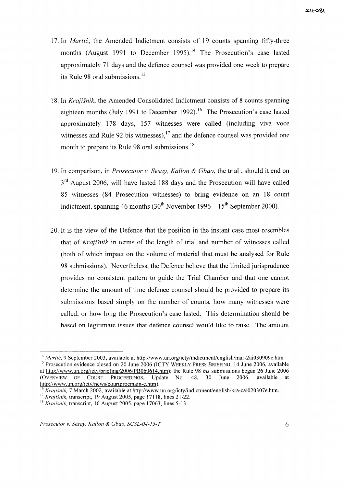- 17. In *Martic,* the Amended Indictment consists of 19 counts spanning fifty-three months (August 1991 to December 1995).<sup>14</sup> The Prosecution's case lasted approximately 71 days and the defence counsel was provided one week to prepare its Rule 98 oral submissions.<sup>15</sup>
- 18. In Krajišnik, the Amended Consolidated Indictment consists of 8 counts spanning eighteen months (July 1991 to December 1992).<sup>16</sup> The Prosecution's case lasted approximately 178 days, 157 witnesses were called (including viva voce witnesses and Rule 92 bis witnesses), $^{17}$  and the defence counsel was provided one month to prepare its Rule 98 oral submissions.<sup>18</sup>
- 19. In comparison, in *Prosecutor* v. *Sesay, Kallon* & *Gbao,* the trial, should it end on 3<sup>rd</sup> August 2006, will have lasted 188 days and the Prosecution will have called 85 witnesses (84 Prosecution witnesses) to bring evidence on an 18 count indictment, spanning 46 months  $(30^{th}$  November 1996 - 15<sup>th</sup> September 2000).
- 20. It is the view of the Defence that the position in the instant case most resembles that of *Krajisnik* in terms of the length of trial and number of witnesses called (both of which impact on the volume of material that must be analysed for Rule 98 submissions). Nevertheless, the Defence believe that the limited jurisprudence provides no consistent pattern to guide the Trial Chamber and that one cannot determine the amount of time defence counsel should be provided to prepare its submissions based simply on the number of counts, how many witnesses were called, or how long the Prosecution's case lasted. This determination should be based on legitimate issues that defence counsel would like to raise. The amount

<sup>&</sup>lt;sup>14</sup> *Martić*, 9 September 2003, available at http://www.un.org/icty/indictment/english/mar-2ai030909e.htm <sup>15</sup> Prosecution evidence closed on 20 June 2006 (ICTY WEEKLY PRESS BRIEFING, 14 June 2006, available at http://www.un.org/icty/briefing/2006/PB060614.htm); the Rule 98 *bis* submissions began 26 June 2006 (OVERVIEW OF COURT PROCEEDINGS, Update No. 48, 30 June 2006, available at http://www.un.org/icty/news/courtprocmain-e.htm).

<sup>16</sup> *Krajisnik,* 7 March 2002, available at http://www.un.org/icty/indictment/english/kra-cai020307e.htm.

<sup>17</sup> *Krajisnik,* transcript, 19 August 2005, page 17118, lines 21-22.

 $18$  Krajišnik, transcript, 16 August 2005, page 17063, lines 5-13.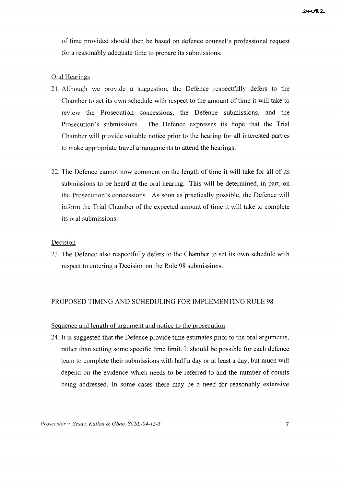of time provided should then be based on defence counsel's professional request for a reasonably adequate time to prepare its submissions.

## Oral Hearings

- 21. Although we provide a suggestion, the Defence respectfully defers to the Chamber to set its own schedule with respect to the amount of time it will take to review the Prosecution concessions, the Defence submissions, and the Prosecution's submissions. The Defence expresses its hope that the Trial Chamber will provide suitable notice prior to the hearing for all interested parties to make appropriate travel arrangements to attend the hearings.
- 22. The Defence cannot now comment on the length of time it will take for all of its submissions to be heard at the oral hearing. This will be determined, in part, on the Prosecution's concessions. As soon as practically possible, the Defence will inform the Trial Chamber of the expected amount of time it will take to complete its oral submissions.

## Decision

23, The Defence also respectfully defers to the Chamber to set its own schedule with respect to entering a Decision on the Rule 98 submissions.

# PROPOSED TIMING AND SCHEDULING FOR IMPLEMENTING RULE 98

## Sequence and length of argument and notice to the prosecution

24. It is suggested that the Defence provide time estimates prior to the oral arguments, rather than setting some specific time limit. It should be possible for each defence team to complete their submissions with half a day or at least a day, but much will depend on the evidence which needs to be referred to and the number of counts being addressed. In some cases there may be a need for reasonably extensive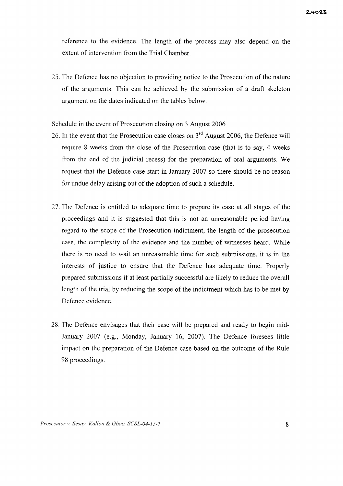reference to the evidence. The length of the process may also depend on the extent of intervention from the Trial Chamber.

25. The Defence has no objection to providing notice to the Prosecution of the nature of the arguments. This can be achieved by the submission of a draft skeleton argument on the dates indicated on the tables below.

## Schedule in the event of Prosecution closing on 3 August 2006

- 26. In the event that the Prosecution case closes on  $3<sup>rd</sup>$  August 2006, the Defence will require 8 weeks from the close of the Prosecution case (that is to say, 4 weeks from the end of the judicial recess) for the preparation of oral arguments. We request that the Defence case start in January 2007 so there should be no reason for undue delay arising out of the adoption of such a schedule.
- 27. The Defence is entitled to adequate time to prepare its case at all stages of the proceedings and it is suggested that this is not an unreasonable period having regard to the scope of the Prosecution indictment, the length of the prosecution case, the complexity of the evidence and the number of witnesses heard. While there is no need to wait an unreasonable time for such submissions, it is in the interests of justice to ensure that the Defence has adequate time. Properly prepared submissions if at least partially successful are likely to reduce the overall length of the trial by reducing the scope of the indictment which has to be met by Defence evidence.
- 28. The Defence envisages that their case will be prepared and ready to begin mid-January 2007 (e.g., Monday, January 16, 2007). The Defence foresees little impact on the preparation of the Defence case based on the outcome of the Rule 98 proceedings.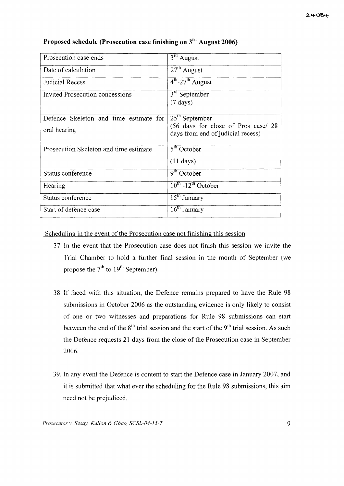| Prosecution case ends                                  | $3rd$ August                                                                                 |  |
|--------------------------------------------------------|----------------------------------------------------------------------------------------------|--|
| Date of calculation                                    | $27th$ August                                                                                |  |
| Judicial Recess                                        | $4th$ -27 <sup>th</sup> August                                                               |  |
| Invited Prosecution concessions                        | 3 <sup>rd</sup> September<br>$(7 \text{ days})$                                              |  |
| Defence Skeleton and time estimate for<br>oral hearing | $25th$ September<br>(56 days for close of Pros case/ 28<br>days from end of judicial recess) |  |
| Prosecution Skeleton and time estimate                 | $5th$ October<br>$(11 \text{ days})$                                                         |  |
| Status conference                                      | $\overline{9^{th}}$ October                                                                  |  |
| Hearing                                                | $10^{th}$ -12 <sup>th</sup> October                                                          |  |
| Status conference                                      | $15th$ January                                                                               |  |
| Start of defence case                                  | $16^{\text{th}}$ January                                                                     |  |

# **Proposed schedule (Prosecution case finishing on 3rd August 2006)**

Scheduling in the event of the Prosecution case not finishing this session

- 37. In the event that the Prosecution case does not finish this session we invite the Trial Chamber to hold a further final session in the month of September (we propose the  $7<sup>th</sup>$  to  $19<sup>th</sup>$  September).
- 38. If faced with this situation, the Defence remains prepared to have the Rule 98 submissions in October 2006 as the outstanding evidence is only likely to consist of one or two witnesses and preparations for Rule 98 submissions can start between the end of the  $8<sup>th</sup>$  trial session and the start of the  $9<sup>th</sup>$  trial session. As such the Defence requests 21 days from the close of the Prosecution case in September 2006.
- 39. In any event the Defence is content to start the Defence case in January 2007, and it is submitted that what ever the scheduling for the Rule 98 submissions, this aim need not be prejudiced.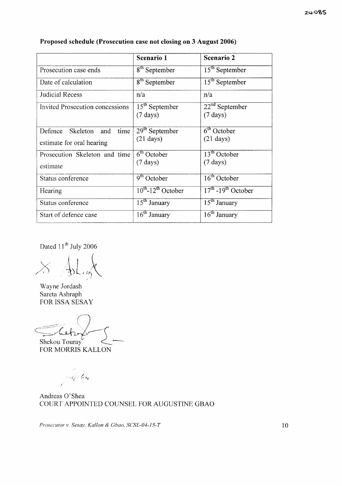|                                                           | Scenario 1                              | Scenario 2                                                  |
|-----------------------------------------------------------|-----------------------------------------|-------------------------------------------------------------|
| Prosecution case ends                                     | 8 <sup>th</sup> September               | $15th$ September                                            |
| Date of calculation                                       | $8th$ September                         | $15th$ September                                            |
| Judicial Recess                                           | n/a                                     | n/a                                                         |
| Invited Prosecution concessions                           | $15th$ September<br>$(7 \text{ days})$  | $22nd$ September<br>$(7 \text{ days})$                      |
| time<br>Defence Skeleton and<br>estimate for oral hearing | $29th$ September<br>$(21 \text{ days})$ | $\overline{6}$ <sup>th</sup> October<br>$(21 \text{ days})$ |
| Prosecution Skeleton and time<br>estimate                 | $6th$ October<br>$(7 \text{ days})$     | $13th$ October<br>$(7 \text{ days})$                        |
| Status conference                                         | $9th$ October                           | $16th$ October                                              |
| Hearing                                                   | $10^{th}$ -12 <sup>th</sup> October     | $17th - 19th$ October                                       |
| Status conference                                         | $\overline{15}$ <sup>th</sup> January   | $15th$ January                                              |
| Start of defence case                                     | $\overline{16}$ <sup>th</sup> January   | $16th$ January                                              |

# **Proposed schedule (Prosecution case not closing on 3 August 2006)**

Dated 11<sup>th</sup> July 2006

 $\overline{\mathsf{X}}$  $\epsilon$  $\cdot$  !

Wayne Jordash Sareta Ashraph FOR ISSA SESAY

Shekou Touray  $=$  helpo  $\chi$ 

FOR MORRIS KALLON

e olip tem Í

Andreas 0'Shea COURT APPOINTED COUNSEL FOR AUGUSTINE GBAO

*Prosecutor* v. *Sesay, Kallon* & *Gbao, SCSL-04-15-T* 10